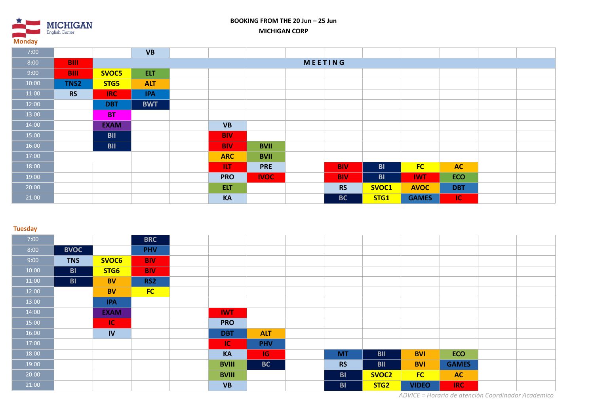**MICHIGAN** English Center **Monday**

## **BOOKING FROM THE 20 Jun – 25 Jun MICHIGAN CORP**

| 7:00  |             |             | <b>VB</b>      |  |            |             |  |            |           |              |            |  |  |
|-------|-------------|-------------|----------------|--|------------|-------------|--|------------|-----------|--------------|------------|--|--|
| 8:00  | <b>BIII</b> |             | <b>MEETING</b> |  |            |             |  |            |           |              |            |  |  |
| 9:00  | <b>BIII</b> | SVOC5       | <b>ELT</b>     |  |            |             |  |            |           |              |            |  |  |
| 10:00 | TNS2        | STG5        | <b>ALT</b>     |  |            |             |  |            |           |              |            |  |  |
| 11:00 | <b>RS</b>   | IRC         | <b>IPA</b>     |  |            |             |  |            |           |              |            |  |  |
| 12:00 |             | <b>DBT</b>  | <b>BWT</b>     |  |            |             |  |            |           |              |            |  |  |
| 13:00 |             | <b>BT</b>   |                |  |            |             |  |            |           |              |            |  |  |
| 14:00 |             | <b>EXAM</b> |                |  | <b>VB</b>  |             |  |            |           |              |            |  |  |
| 15:00 |             | <b>BII</b>  |                |  | <b>BIV</b> |             |  |            |           |              |            |  |  |
| 16:00 |             | <b>BII</b>  |                |  | <b>BIV</b> | <b>BVII</b> |  |            |           |              |            |  |  |
| 17:00 |             |             |                |  | <b>ARC</b> | <b>BVII</b> |  |            |           |              |            |  |  |
| 18:00 |             |             |                |  | <b>ILT</b> | <b>PRE</b>  |  | <b>BIV</b> | <b>BI</b> | <b>FC</b>    | <b>AC</b>  |  |  |
| 19:00 |             |             |                |  | <b>PRO</b> | <b>IVOC</b> |  | <b>BIV</b> | <b>BI</b> | <b>IWT</b>   | <b>ECO</b> |  |  |
| 20:00 |             |             |                |  | <b>ELT</b> |             |  | <b>RS</b>  | SVOC1     | <b>AVOC</b>  | <b>DBT</b> |  |  |
| 21:00 |             |             |                |  | <b>KA</b>  |             |  | <b>BC</b>  | STG1      | <b>GAMES</b> | <b>IC</b>  |  |  |

### **Tuesday**

| 7:00  |             |             | <b>BRC</b> |              |            |           |                   |              |              |  |
|-------|-------------|-------------|------------|--------------|------------|-----------|-------------------|--------------|--------------|--|
| 8:00  | <b>BVOC</b> |             | <b>PHV</b> |              |            |           |                   |              |              |  |
| 9:00  | <b>TNS</b>  | SVOC6       | <b>BIV</b> |              |            |           |                   |              |              |  |
| 10:00 | <b>BI</b>   | STG6        | <b>BIV</b> |              |            |           |                   |              |              |  |
| 11:00 | <b>BI</b>   | <b>BV</b>   | RS2        |              |            |           |                   |              |              |  |
| 12:00 |             | <b>BV</b>   | FC         |              |            |           |                   |              |              |  |
| 13:00 |             | <b>IPA</b>  |            |              |            |           |                   |              |              |  |
| 14:00 |             | <b>EXAM</b> |            | <b>IWT</b>   |            |           |                   |              |              |  |
| 15:00 |             | IC.         |            | <b>PRO</b>   |            |           |                   |              |              |  |
| 16:00 |             | IV          |            | <b>DBT</b>   | <b>ALT</b> |           |                   |              |              |  |
| 17:00 |             |             |            | IC           | <b>PHV</b> |           |                   |              |              |  |
| 18:00 |             |             |            | KA           | <b>IG</b>  | <b>MT</b> | <b>BII</b>        | <b>BVI</b>   | <b>ECO</b>   |  |
| 19:00 |             |             |            | <b>BVIII</b> | <b>BC</b>  | <b>RS</b> | <b>BII</b>        | <b>BVI</b>   | <b>GAMES</b> |  |
| 20:00 |             |             |            | <b>BVIII</b> |            | <b>BI</b> | SVOC <sub>2</sub> | FC           | <b>AC</b>    |  |
| 21:00 |             |             |            | <b>VB</b>    |            | <b>BI</b> | STG <sub>2</sub>  | <b>VIDEO</b> | <b>IRC</b>   |  |

*ADVICE = Horario de atención Coordinador Academico*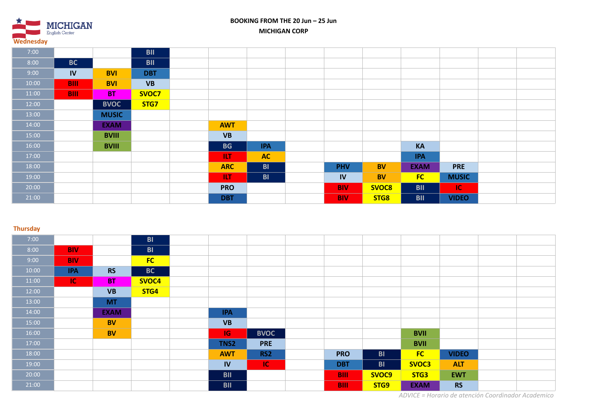

# **BOOKING FROM THE 20 Jun – 25 Jun MICHIGAN CORP**

| 7:00  |             |              | <b>BII</b> |            |            |            |           |             |              |  |
|-------|-------------|--------------|------------|------------|------------|------------|-----------|-------------|--------------|--|
| 8:00  | <b>BC</b>   |              | <b>BII</b> |            |            |            |           |             |              |  |
| 9:00  | IV          | <b>BVI</b>   | <b>DBT</b> |            |            |            |           |             |              |  |
| 10:00 | <b>BIII</b> | <b>BVI</b>   | <b>VB</b>  |            |            |            |           |             |              |  |
| 11:00 | <b>BIII</b> | <b>BT</b>    | SVOC7      |            |            |            |           |             |              |  |
| 12:00 |             | <b>BVOC</b>  | STG7       |            |            |            |           |             |              |  |
| 13:00 |             | <b>MUSIC</b> |            |            |            |            |           |             |              |  |
| 14:00 |             | <b>EXAM</b>  |            | <b>AWT</b> |            |            |           |             |              |  |
| 15:00 |             | <b>BVIII</b> |            | <b>VB</b>  |            |            |           |             |              |  |
| 16:00 |             | <b>BVIII</b> |            | <b>BG</b>  | <b>IPA</b> |            |           | <b>KA</b>   |              |  |
| 17:00 |             |              |            | <b>ILT</b> | <b>AC</b>  |            |           | <b>IPA</b>  |              |  |
| 18:00 |             |              |            | <b>ARC</b> | <b>BI</b>  | <b>PHV</b> | <b>BV</b> | <b>EXAM</b> | <b>PRE</b>   |  |
| 19:00 |             |              |            | <b>ILT</b> | <b>BI</b>  | IV         | <b>BV</b> | <b>FC</b>   | <b>MUSIC</b> |  |
| 20:00 |             |              |            | <b>PRO</b> |            | <b>BIV</b> | SVOC8     | <b>BII</b>  | IC.          |  |
| 21:00 |             |              |            | <b>DBT</b> |            | <b>BIV</b> | STG8      | <b>BII</b>  | <b>VIDEO</b> |  |

#### **Thursday**

| 7:00  |            |             | <b>BI</b> |            |             |             |                |             |              |  |
|-------|------------|-------------|-----------|------------|-------------|-------------|----------------|-------------|--------------|--|
| 8:00  | <b>BIV</b> |             | <b>BI</b> |            |             |             |                |             |              |  |
| 9:00  | <b>BIV</b> |             | FC        |            |             |             |                |             |              |  |
| 10:00 | <b>IPA</b> | <b>RS</b>   | <b>BC</b> |            |             |             |                |             |              |  |
| 11:00 | $\sf IC'$  | <b>BT</b>   | SVOC4     |            |             |             |                |             |              |  |
| 12:00 |            | <b>VB</b>   | STG4      |            |             |             |                |             |              |  |
| 13:00 |            | <b>MT</b>   |           |            |             |             |                |             |              |  |
| 14:00 |            | <b>EXAM</b> |           | <b>IPA</b> |             |             |                |             |              |  |
| 15:00 |            | <b>BV</b>   |           | <b>VB</b>  |             |             |                |             |              |  |
| 16:00 |            | <b>BV</b>   |           | IG.        | <b>BVOC</b> |             |                | <b>BVII</b> |              |  |
| 17:00 |            |             |           | TNS2       | <b>PRE</b>  |             |                | <b>BVII</b> |              |  |
| 18:00 |            |             |           | <b>AWT</b> | RS2         | <b>PRO</b>  | B <sub>1</sub> | <b>FC</b>   | <b>VIDEO</b> |  |
| 19:00 |            |             |           | <b>IV</b>  | IC.         | <b>DBT</b>  | <b>BI</b>      | SVOC3       | <b>ALT</b>   |  |
| 20:00 |            |             |           | <b>BII</b> |             | <b>BIII</b> | SVOC9          | STG3        | <b>EWT</b>   |  |
| 21:00 |            |             |           | <b>BII</b> |             | <b>BIII</b> | STG9           | <b>EXAM</b> | <b>RS</b>    |  |

*ADVICE = Horario de atención Coordinador Academico*